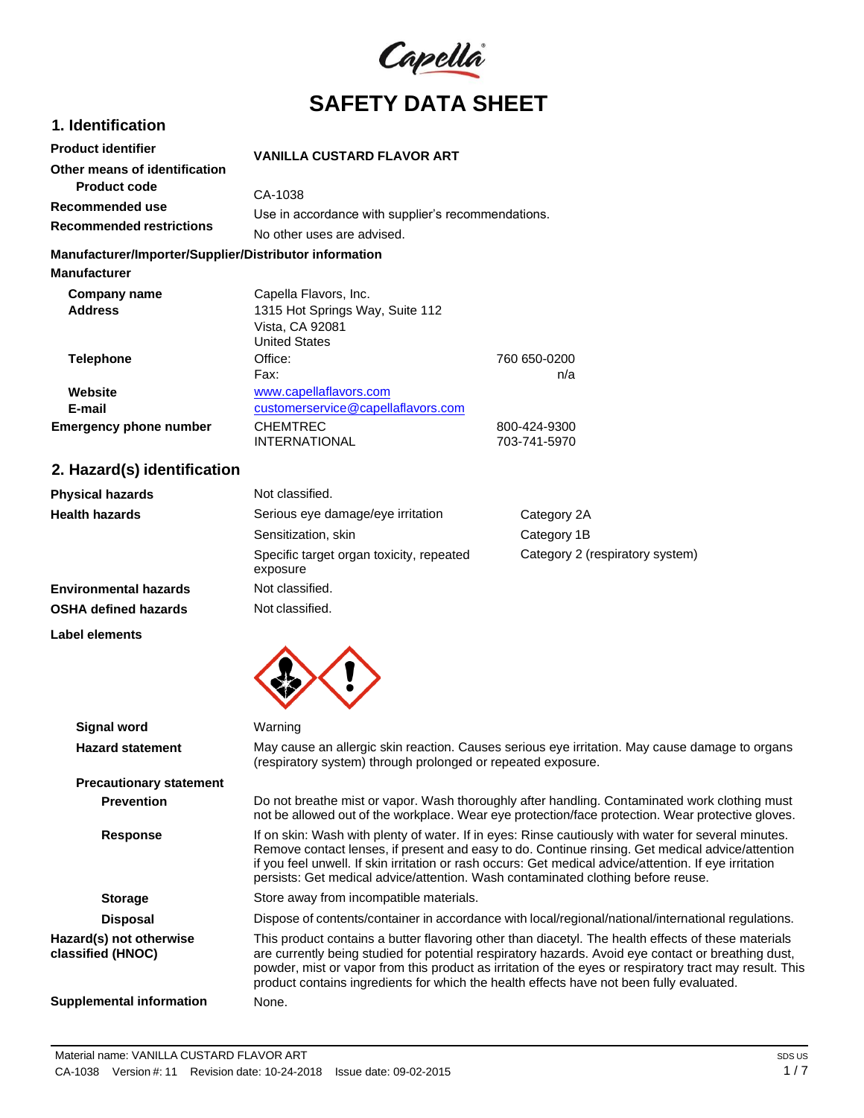

# **1. Identification Product identifier**

# **VANILLA CUSTARD FLAVOR ART**

|                                 | VANILLA GUSTAND FLAVON ANT                         |  |
|---------------------------------|----------------------------------------------------|--|
| Other means of identification   |                                                    |  |
| <b>Product code</b>             | CA-1038                                            |  |
| Recommended use                 |                                                    |  |
| <b>Recommended restrictions</b> | Use in accordance with supplier's recommendations. |  |
|                                 | No other uses are advised.                         |  |

### **Manufacturer/Importer/Supplier/Distributor information**

| <b>Manufacturer</b>           |                                    |              |
|-------------------------------|------------------------------------|--------------|
| Company name                  | Capella Flavors, Inc.              |              |
| <b>Address</b>                | 1315 Hot Springs Way, Suite 112    |              |
|                               | Vista, CA 92081                    |              |
|                               | <b>United States</b>               |              |
| <b>Telephone</b>              | Office:                            | 760 650-0200 |
|                               | Fax:                               | n/a          |
| Website                       | www.capellaflavors.com             |              |
| E-mail                        | customerservice@capellaflavors.com |              |
| <b>Emergency phone number</b> | <b>CHEMTREC</b>                    | 800-424-9300 |
|                               | <b>INTERNATIONAL</b>               | 703-741-5970 |

# **2. Hazard(s) identification**

| <b>Physical hazards</b>      | Not classified.                                      |                                 |
|------------------------------|------------------------------------------------------|---------------------------------|
| <b>Health hazards</b>        | Serious eye damage/eye irritation                    | Category 2A                     |
|                              | Sensitization, skin                                  | Category 1B                     |
|                              | Specific target organ toxicity, repeated<br>exposure | Category 2 (respiratory system) |
| <b>Environmental hazards</b> | Not classified.                                      |                                 |
| <b>OSHA defined hazards</b>  | Not classified.                                      |                                 |

### **Label elements**



| <b>Signal word</b>                           | Warning                                                                                                                                                                                                                                                                                                                                                                                                           |
|----------------------------------------------|-------------------------------------------------------------------------------------------------------------------------------------------------------------------------------------------------------------------------------------------------------------------------------------------------------------------------------------------------------------------------------------------------------------------|
|                                              |                                                                                                                                                                                                                                                                                                                                                                                                                   |
| <b>Hazard statement</b>                      | May cause an allergic skin reaction. Causes serious eye irritation. May cause damage to organs<br>(respiratory system) through prolonged or repeated exposure.                                                                                                                                                                                                                                                    |
| <b>Precautionary statement</b>               |                                                                                                                                                                                                                                                                                                                                                                                                                   |
| <b>Prevention</b>                            | Do not breathe mist or vapor. Wash thoroughly after handling. Contaminated work clothing must<br>not be allowed out of the workplace. Wear eye protection/face protection. Wear protective gloves.                                                                                                                                                                                                                |
| Response                                     | If on skin: Wash with plenty of water. If in eyes: Rinse cautiously with water for several minutes.<br>Remove contact lenses, if present and easy to do. Continue rinsing. Get medical advice/attention<br>if you feel unwell. If skin irritation or rash occurs: Get medical advice/attention. If eye irritation<br>persists: Get medical advice/attention. Wash contaminated clothing before reuse.             |
| <b>Storage</b>                               | Store away from incompatible materials.                                                                                                                                                                                                                                                                                                                                                                           |
| <b>Disposal</b>                              | Dispose of contents/container in accordance with local/regional/national/international regulations.                                                                                                                                                                                                                                                                                                               |
| Hazard(s) not otherwise<br>classified (HNOC) | This product contains a butter flavoring other than diacetyl. The health effects of these materials<br>are currently being studied for potential respiratory hazards. Avoid eye contact or breathing dust,<br>powder, mist or vapor from this product as irritation of the eyes or respiratory tract may result. This<br>product contains ingredients for which the health effects have not been fully evaluated. |
| <b>Supplemental information</b>              | None.                                                                                                                                                                                                                                                                                                                                                                                                             |
|                                              |                                                                                                                                                                                                                                                                                                                                                                                                                   |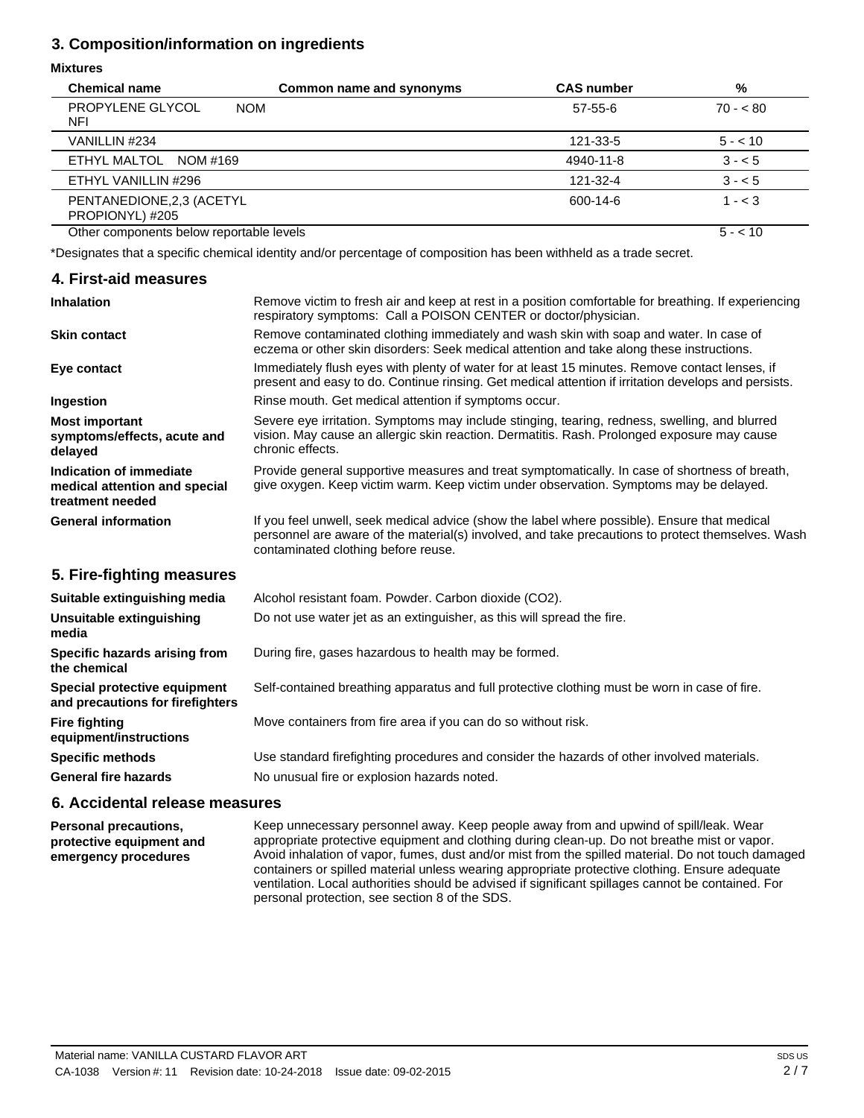# **3. Composition/information on ingredients**

## **Mixtures**

| <b>Chemical name</b>                         | Common name and synonyms | <b>CAS number</b> | %         |
|----------------------------------------------|--------------------------|-------------------|-----------|
| PROPYLENE GLYCOL<br><b>NOM</b><br>NFI        |                          | $57-55-6$         | $70 - 80$ |
| VANILLIN #234                                |                          | 121-33-5          | $5 - 10$  |
| ETHYL MALTOL<br>NOM #169                     |                          | 4940-11-8         | $3 - 5$   |
| ETHYL VANILLIN #296                          |                          | 121-32-4          | $3 - 5$   |
| PENTANEDIONE, 2,3 (ACETYL<br>PROPIONYL) #205 |                          | 600-14-6          | $1 - < 3$ |
| Other components below reportable levels     |                          |                   | $5 - 10$  |

\*Designates that a specific chemical identity and/or percentage of composition has been withheld as a trade secret.

| 4. First-aid measures                                                        |                                                                                                                                                                                                                                          |
|------------------------------------------------------------------------------|------------------------------------------------------------------------------------------------------------------------------------------------------------------------------------------------------------------------------------------|
| <b>Inhalation</b>                                                            | Remove victim to fresh air and keep at rest in a position comfortable for breathing. If experiencing<br>respiratory symptoms: Call a POISON CENTER or doctor/physician.                                                                  |
| <b>Skin contact</b>                                                          | Remove contaminated clothing immediately and wash skin with soap and water. In case of<br>eczema or other skin disorders: Seek medical attention and take along these instructions.                                                      |
| Eye contact                                                                  | Immediately flush eyes with plenty of water for at least 15 minutes. Remove contact lenses, if<br>present and easy to do. Continue rinsing. Get medical attention if irritation develops and persists.                                   |
| Ingestion                                                                    | Rinse mouth. Get medical attention if symptoms occur.                                                                                                                                                                                    |
| <b>Most important</b><br>symptoms/effects, acute and<br>delayed              | Severe eye irritation. Symptoms may include stinging, tearing, redness, swelling, and blurred<br>vision. May cause an allergic skin reaction. Dermatitis. Rash. Prolonged exposure may cause<br>chronic effects.                         |
| Indication of immediate<br>medical attention and special<br>treatment needed | Provide general supportive measures and treat symptomatically. In case of shortness of breath,<br>give oxygen. Keep victim warm. Keep victim under observation. Symptoms may be delayed.                                                 |
| <b>General information</b>                                                   | If you feel unwell, seek medical advice (show the label where possible). Ensure that medical<br>personnel are aware of the material(s) involved, and take precautions to protect themselves. Wash<br>contaminated clothing before reuse. |
| 5. Fire-fighting measures                                                    |                                                                                                                                                                                                                                          |
| Suitable extinguishing media                                                 | Alcohol resistant foam. Powder. Carbon dioxide (CO2).                                                                                                                                                                                    |
| Unsuitable extinguishing<br>media                                            | Do not use water jet as an extinguisher, as this will spread the fire.                                                                                                                                                                   |
| Specific hazards arising from<br>the chemical                                | During fire, gases hazardous to health may be formed.                                                                                                                                                                                    |
| Special protective equipment<br>and precautions for firefighters             | Self-contained breathing apparatus and full protective clothing must be worn in case of fire.                                                                                                                                            |
| <b>Fire fighting</b><br>equipment/instructions                               | Move containers from fire area if you can do so without risk.                                                                                                                                                                            |

**Specific methods General fire hazards** Use standard firefighting procedures and consider the hazards of other involved materials. No unusual fire or explosion hazards noted.

# **6. Accidental release measures**

**Personal precautions, protective equipment and emergency procedures**

Keep unnecessary personnel away. Keep people away from and upwind of spill/leak. Wear appropriate protective equipment and clothing during clean-up. Do not breathe mist or vapor. Avoid inhalation of vapor, fumes, dust and/or mist from the spilled material. Do not touch damaged containers or spilled material unless wearing appropriate protective clothing. Ensure adequate ventilation. Local authorities should be advised if significant spillages cannot be contained. For personal protection, see section 8 of the SDS.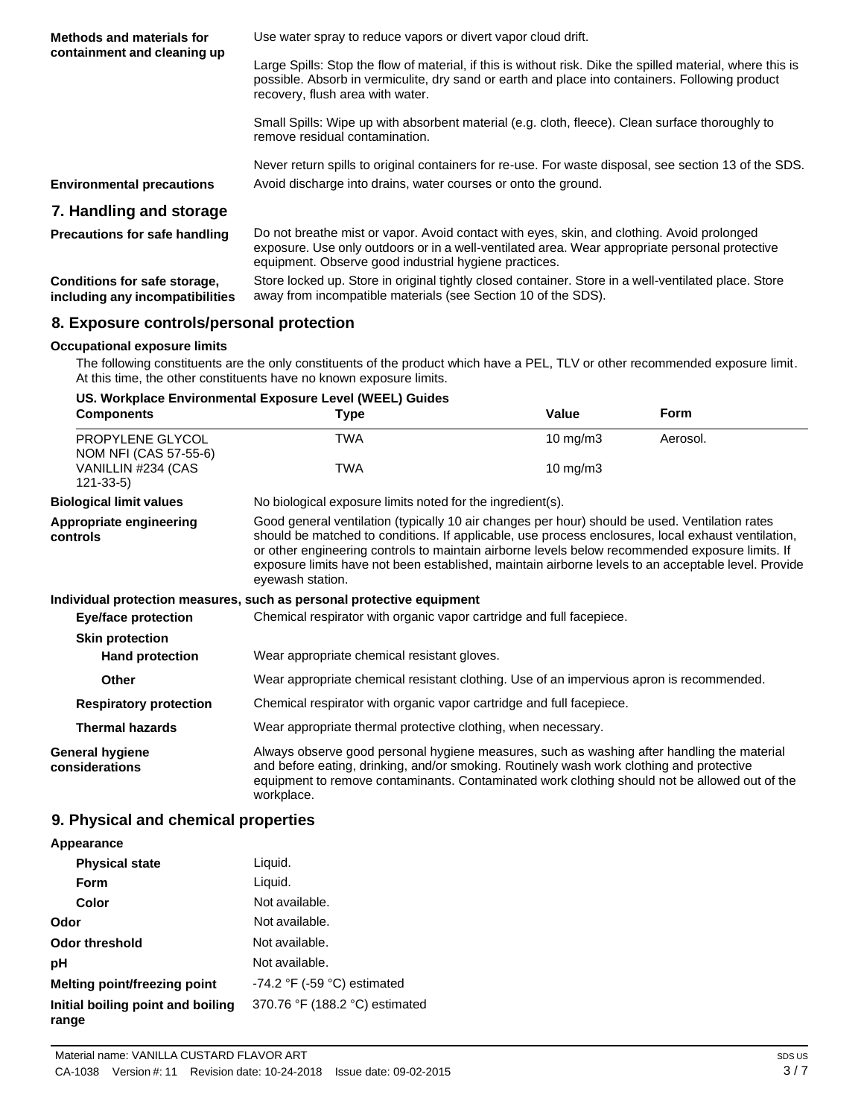| <b>Methods and materials for</b><br>containment and cleaning up | Use water spray to reduce vapors or divert vapor cloud drift.                                                                                                                                                                                         |
|-----------------------------------------------------------------|-------------------------------------------------------------------------------------------------------------------------------------------------------------------------------------------------------------------------------------------------------|
|                                                                 | Large Spills: Stop the flow of material, if this is without risk. Dike the spilled material, where this is<br>possible. Absorb in vermiculite, dry sand or earth and place into containers. Following product<br>recovery, flush area with water.     |
|                                                                 | Small Spills: Wipe up with absorbent material (e.g. cloth, fleece). Clean surface thoroughly to<br>remove residual contamination.                                                                                                                     |
|                                                                 | Never return spills to original containers for re-use. For waste disposal, see section 13 of the SDS.                                                                                                                                                 |
| <b>Environmental precautions</b>                                | Avoid discharge into drains, water courses or onto the ground.                                                                                                                                                                                        |
| 7. Handling and storage                                         |                                                                                                                                                                                                                                                       |
| <b>Precautions for safe handling</b>                            | Do not breathe mist or vapor. Avoid contact with eyes, skin, and clothing. Avoid prolonged<br>exposure. Use only outdoors or in a well-ventilated area. Wear appropriate personal protective<br>equipment. Observe good industrial hygiene practices. |
| Conditions for safe storage,<br>including any incompatibilities | Store locked up. Store in original tightly closed container. Store in a well-ventilated place. Store<br>away from incompatible materials (see Section 10 of the SDS).                                                                                 |

# **8. Exposure controls/personal protection**

## **Occupational exposure limits**

The following constituents are the only constituents of the product which have a PEL, TLV or other recommended exposure limit. At this time, the other constituents have no known exposure limits.

## **US. Workplace Environmental Exposure Level (WEEL) Guides**

| <b>Components</b>                         | <b>Type</b>                                                                                                                                                                                                                                                                                                                                                                                                                        | Value                                                      | Form     |  |
|-------------------------------------------|------------------------------------------------------------------------------------------------------------------------------------------------------------------------------------------------------------------------------------------------------------------------------------------------------------------------------------------------------------------------------------------------------------------------------------|------------------------------------------------------------|----------|--|
| PROPYLENE GLYCOL<br>NOM NFI (CAS 57-55-6) | <b>TWA</b>                                                                                                                                                                                                                                                                                                                                                                                                                         | $10 \text{ mg/m}$                                          | Aerosol. |  |
| VANILLIN #234 (CAS<br>$121 - 33 - 5$      | <b>TWA</b>                                                                                                                                                                                                                                                                                                                                                                                                                         | $10 \text{ mg/m}$                                          |          |  |
| <b>Biological limit values</b>            |                                                                                                                                                                                                                                                                                                                                                                                                                                    | No biological exposure limits noted for the ingredient(s). |          |  |
| Appropriate engineering<br>controls       | Good general ventilation (typically 10 air changes per hour) should be used. Ventilation rates<br>should be matched to conditions. If applicable, use process enclosures, local exhaust ventilation,<br>or other engineering controls to maintain airborne levels below recommended exposure limits. If<br>exposure limits have not been established, maintain airborne levels to an acceptable level. Provide<br>eyewash station. |                                                            |          |  |
|                                           | Individual protection measures, such as personal protective equipment                                                                                                                                                                                                                                                                                                                                                              |                                                            |          |  |
| <b>Eye/face protection</b>                | Chemical respirator with organic vapor cartridge and full facepiece.                                                                                                                                                                                                                                                                                                                                                               |                                                            |          |  |
| <b>Skin protection</b>                    |                                                                                                                                                                                                                                                                                                                                                                                                                                    |                                                            |          |  |
| <b>Hand protection</b>                    | Wear appropriate chemical resistant gloves.                                                                                                                                                                                                                                                                                                                                                                                        |                                                            |          |  |
| Other                                     | Wear appropriate chemical resistant clothing. Use of an impervious apron is recommended.                                                                                                                                                                                                                                                                                                                                           |                                                            |          |  |
| <b>Respiratory protection</b>             | Chemical respirator with organic vapor cartridge and full facepiece.                                                                                                                                                                                                                                                                                                                                                               |                                                            |          |  |
| <b>Thermal hazards</b>                    | Wear appropriate thermal protective clothing, when necessary.                                                                                                                                                                                                                                                                                                                                                                      |                                                            |          |  |
| <b>General hygiene</b><br>considerations  | Always observe good personal hygiene measures, such as washing after handling the material<br>and before eating, drinking, and/or smoking. Routinely wash work clothing and protective<br>equipment to remove contaminants. Contaminated work clothing should not be allowed out of the<br>workplace.                                                                                                                              |                                                            |          |  |

# **9. Physical and chemical properties**

### **Appearance Physical state Form Color Odor** Liquid. Liquid. Not available. Not available. **Odor threshold** Not available. **pH** Not available. **Melting point/freezing point** -74.2 °F (-59 °C) estimated **Initial boiling point and boiling range** 370.76 °F (188.2 °C) estimated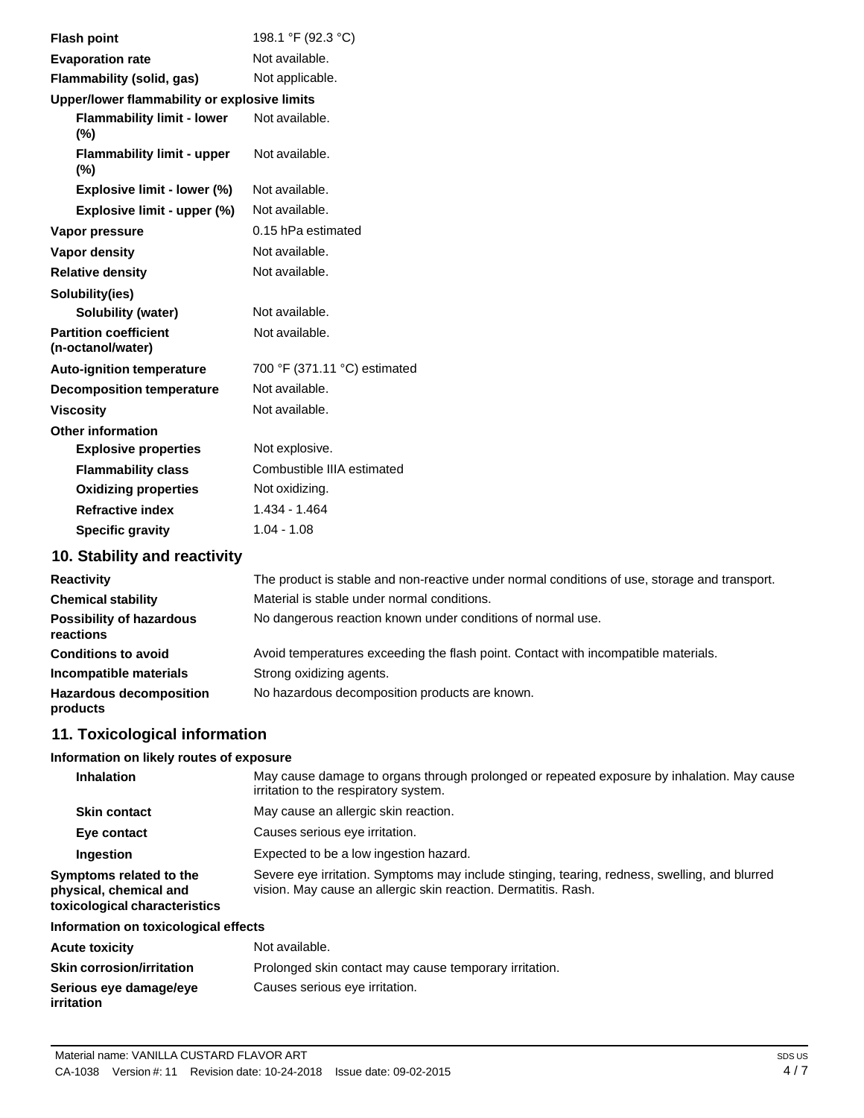| <b>Flash point</b>                                | 198.1 °F (92.3 °C)           |
|---------------------------------------------------|------------------------------|
| <b>Evaporation rate</b>                           | Not available.               |
| Flammability (solid, gas)                         | Not applicable.              |
| Upper/lower flammability or explosive limits      |                              |
| <b>Flammability limit - lower</b><br>(%)          | Not available.               |
| <b>Flammability limit - upper</b><br>(%)          | Not available.               |
| Explosive limit - lower (%)                       | Not available.               |
| Explosive limit - upper (%)                       | Not available.               |
| Vapor pressure                                    | 0.15 hPa estimated           |
| Vapor density                                     | Not available.               |
| <b>Relative density</b>                           | Not available.               |
| Solubility(ies)                                   |                              |
| Solubility (water)                                | Not available.               |
| <b>Partition coefficient</b><br>(n-octanol/water) | Not available.               |
| <b>Auto-ignition temperature</b>                  | 700 °F (371.11 °C) estimated |
| <b>Decomposition temperature</b>                  | Not available.               |
| <b>Viscosity</b>                                  | Not available.               |
| <b>Other information</b>                          |                              |
| <b>Explosive properties</b>                       | Not explosive.               |
| <b>Flammability class</b>                         | Combustible IIIA estimated   |
| <b>Oxidizing properties</b>                       | Not oxidizing.               |
| <b>Refractive index</b>                           | 1.434 - 1.464                |
| <b>Specific gravity</b>                           | $1.04 - 1.08$                |
|                                                   |                              |

# **10. Stability and reactivity**

| <b>Reactivity</b>                            | The product is stable and non-reactive under normal conditions of use, storage and transport. |
|----------------------------------------------|-----------------------------------------------------------------------------------------------|
| <b>Chemical stability</b>                    | Material is stable under normal conditions.                                                   |
| <b>Possibility of hazardous</b><br>reactions | No dangerous reaction known under conditions of normal use.                                   |
| <b>Conditions to avoid</b>                   | Avoid temperatures exceeding the flash point. Contact with incompatible materials.            |
| Incompatible materials                       | Strong oxidizing agents.                                                                      |
| <b>Hazardous decomposition</b><br>products   | No hazardous decomposition products are known.                                                |

# **11. Toxicological information**

# **Information on likely routes of exposure**

| <b>Inhalation</b>                                                                  | May cause damage to organs through prolonged or repeated exposure by inhalation. May cause<br>irritation to the respiratory system.                             |
|------------------------------------------------------------------------------------|-----------------------------------------------------------------------------------------------------------------------------------------------------------------|
| <b>Skin contact</b>                                                                | May cause an allergic skin reaction.                                                                                                                            |
| Eye contact                                                                        | Causes serious eye irritation.                                                                                                                                  |
| Ingestion                                                                          | Expected to be a low ingestion hazard.                                                                                                                          |
| Symptoms related to the<br>physical, chemical and<br>toxicological characteristics | Severe eye irritation. Symptoms may include stinging, tearing, redness, swelling, and blurred<br>vision. May cause an allergic skin reaction. Dermatitis. Rash. |
| Information on toxicological effects                                               |                                                                                                                                                                 |
| <b>Acute toxicity</b>                                                              | Not available.                                                                                                                                                  |
|                                                                                    |                                                                                                                                                                 |

| <b>ACUTE TOXICITY</b>            | inot available.                                        |
|----------------------------------|--------------------------------------------------------|
| <b>Skin corrosion/irritation</b> | Prolonged skin contact may cause temporary irritation. |
| Serious eve damage/eve           | Causes serious eye irritation.                         |
| <i>irritation</i>                |                                                        |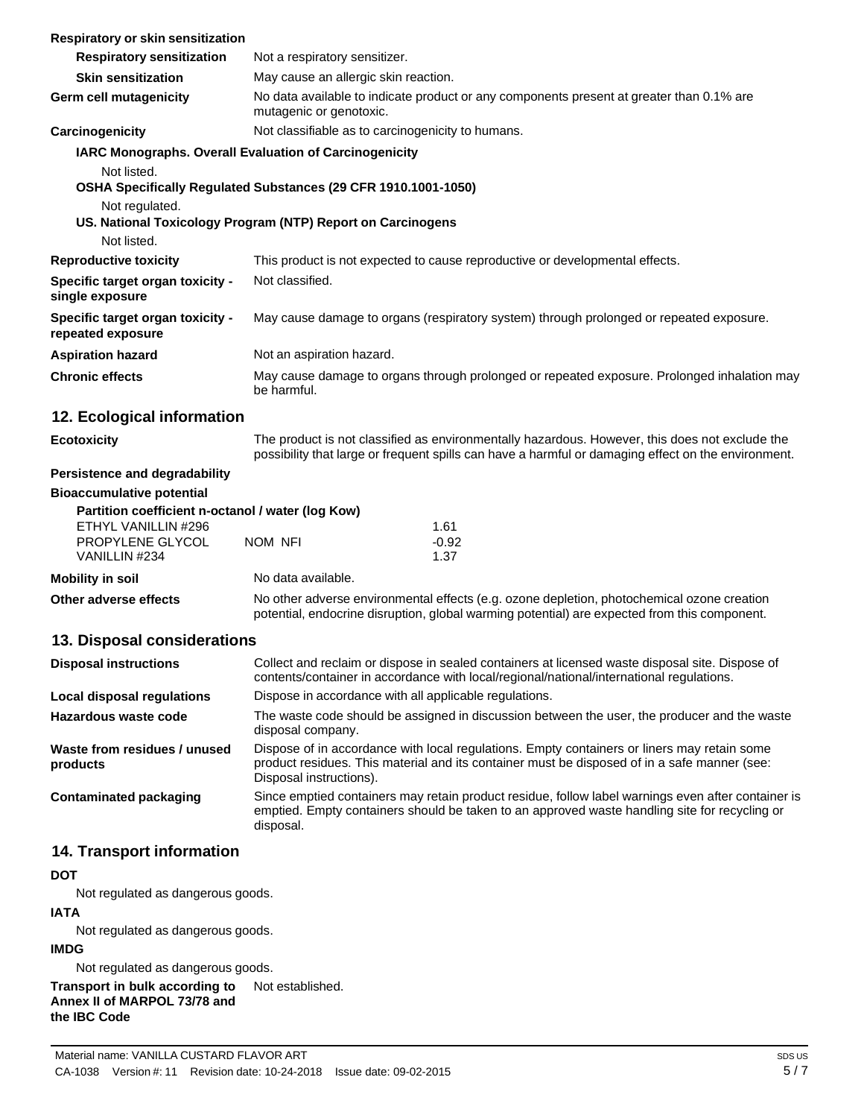| Respiratory or skin sensitization                                                                                                                              |                                                                                                                                                                                                                        |                                                                                                 |  |
|----------------------------------------------------------------------------------------------------------------------------------------------------------------|------------------------------------------------------------------------------------------------------------------------------------------------------------------------------------------------------------------------|-------------------------------------------------------------------------------------------------|--|
| <b>Respiratory sensitization</b>                                                                                                                               | Not a respiratory sensitizer.                                                                                                                                                                                          |                                                                                                 |  |
| <b>Skin sensitization</b>                                                                                                                                      | May cause an allergic skin reaction.                                                                                                                                                                                   |                                                                                                 |  |
| Germ cell mutagenicity                                                                                                                                         | No data available to indicate product or any components present at greater than 0.1% are<br>mutagenic or genotoxic.                                                                                                    |                                                                                                 |  |
| Carcinogenicity                                                                                                                                                | Not classifiable as to carcinogenicity to humans.                                                                                                                                                                      |                                                                                                 |  |
| IARC Monographs. Overall Evaluation of Carcinogenicity                                                                                                         |                                                                                                                                                                                                                        |                                                                                                 |  |
| Not listed.<br>OSHA Specifically Regulated Substances (29 CFR 1910.1001-1050)<br>Not regulated.<br>US. National Toxicology Program (NTP) Report on Carcinogens |                                                                                                                                                                                                                        |                                                                                                 |  |
| Not listed.                                                                                                                                                    |                                                                                                                                                                                                                        |                                                                                                 |  |
| <b>Reproductive toxicity</b>                                                                                                                                   | This product is not expected to cause reproductive or developmental effects.                                                                                                                                           |                                                                                                 |  |
| Specific target organ toxicity -<br>single exposure                                                                                                            | Not classified.                                                                                                                                                                                                        |                                                                                                 |  |
| Specific target organ toxicity -<br>repeated exposure                                                                                                          | May cause damage to organs (respiratory system) through prolonged or repeated exposure.                                                                                                                                |                                                                                                 |  |
| <b>Aspiration hazard</b>                                                                                                                                       | Not an aspiration hazard.                                                                                                                                                                                              |                                                                                                 |  |
| <b>Chronic effects</b>                                                                                                                                         | May cause damage to organs through prolonged or repeated exposure. Prolonged inhalation may<br>be harmful.                                                                                                             |                                                                                                 |  |
| 12. Ecological information                                                                                                                                     |                                                                                                                                                                                                                        |                                                                                                 |  |
| <b>Ecotoxicity</b>                                                                                                                                             | The product is not classified as environmentally hazardous. However, this does not exclude the<br>possibility that large or frequent spills can have a harmful or damaging effect on the environment.                  |                                                                                                 |  |
| Persistence and degradability                                                                                                                                  |                                                                                                                                                                                                                        |                                                                                                 |  |
| <b>Bioaccumulative potential</b>                                                                                                                               |                                                                                                                                                                                                                        |                                                                                                 |  |
| Partition coefficient n-octanol / water (log Kow)                                                                                                              |                                                                                                                                                                                                                        |                                                                                                 |  |
| ETHYL VANILLIN #296<br>PROPYLENE GLYCOL                                                                                                                        | NOM NFI                                                                                                                                                                                                                | 1.61<br>$-0.92$                                                                                 |  |
| VANILLIN #234                                                                                                                                                  |                                                                                                                                                                                                                        | 1.37                                                                                            |  |
| <b>Mobility in soil</b>                                                                                                                                        | No data available.                                                                                                                                                                                                     |                                                                                                 |  |
| Other adverse effects                                                                                                                                          | No other adverse environmental effects (e.g. ozone depletion, photochemical ozone creation<br>potential, endocrine disruption, global warming potential) are expected from this component.                             |                                                                                                 |  |
| 13. Disposal considerations                                                                                                                                    |                                                                                                                                                                                                                        |                                                                                                 |  |
|                                                                                                                                                                |                                                                                                                                                                                                                        | Collect and reclaim or dispose in sealed containers at licensed waste disposal site. Dispose of |  |
| <b>Disposal instructions</b>                                                                                                                                   |                                                                                                                                                                                                                        | contents/container in accordance with local/regional/national/international regulations.        |  |
| Local disposal regulations                                                                                                                                     | Dispose in accordance with all applicable regulations.                                                                                                                                                                 |                                                                                                 |  |
| Hazardous waste code                                                                                                                                           | The waste code should be assigned in discussion between the user, the producer and the waste<br>disposal company.                                                                                                      |                                                                                                 |  |
| Waste from residues / unused<br>products                                                                                                                       | Dispose of in accordance with local regulations. Empty containers or liners may retain some<br>product residues. This material and its container must be disposed of in a safe manner (see:<br>Disposal instructions). |                                                                                                 |  |
| <b>Contaminated packaging</b>                                                                                                                                  | Since emptied containers may retain product residue, follow label warnings even after container is<br>emptied. Empty containers should be taken to an approved waste handling site for recycling or<br>disposal.       |                                                                                                 |  |
| 14. Transport information                                                                                                                                      |                                                                                                                                                                                                                        |                                                                                                 |  |
| דמח                                                                                                                                                            |                                                                                                                                                                                                                        |                                                                                                 |  |

## **DOT**

Not regulated as dangerous goods.

# **IATA**

Not regulated as dangerous goods.

## **IMDG**

Not regulated as dangerous goods.

**Transport in bulk according to** Not established.**Annex II of MARPOL 73/78 and the IBC Code**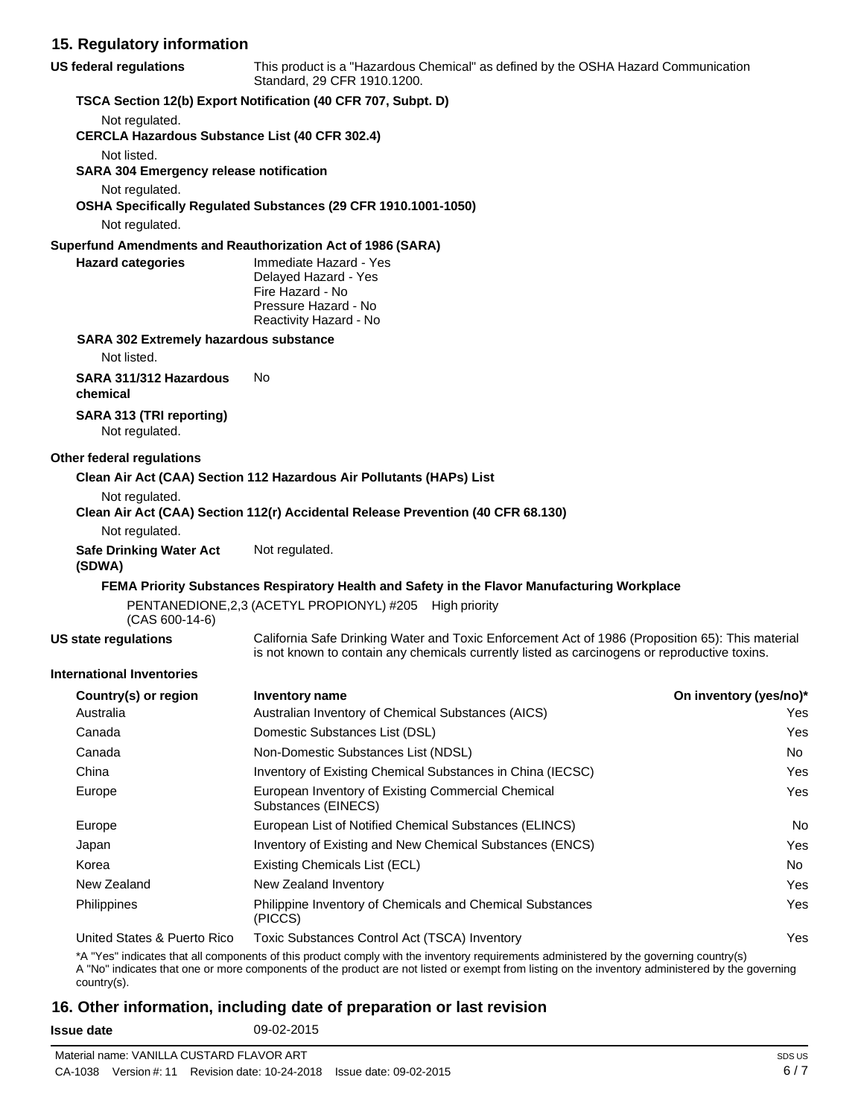# **15. Regulatory information**

| US federal regulations                                | This product is a "Hazardous Chemical" as defined by the OSHA Hazard Communication<br>Standard, 29 CFR 1910.1200.                                                                                                                                                                          |                        |  |
|-------------------------------------------------------|--------------------------------------------------------------------------------------------------------------------------------------------------------------------------------------------------------------------------------------------------------------------------------------------|------------------------|--|
|                                                       | TSCA Section 12(b) Export Notification (40 CFR 707, Subpt. D)                                                                                                                                                                                                                              |                        |  |
| Not regulated.                                        |                                                                                                                                                                                                                                                                                            |                        |  |
| <b>CERCLA Hazardous Substance List (40 CFR 302.4)</b> |                                                                                                                                                                                                                                                                                            |                        |  |
| Not listed.                                           |                                                                                                                                                                                                                                                                                            |                        |  |
| <b>SARA 304 Emergency release notification</b>        |                                                                                                                                                                                                                                                                                            |                        |  |
| Not regulated.                                        | OSHA Specifically Regulated Substances (29 CFR 1910.1001-1050)                                                                                                                                                                                                                             |                        |  |
| Not regulated.                                        |                                                                                                                                                                                                                                                                                            |                        |  |
|                                                       | Superfund Amendments and Reauthorization Act of 1986 (SARA)                                                                                                                                                                                                                                |                        |  |
| <b>Hazard categories</b>                              | Immediate Hazard - Yes                                                                                                                                                                                                                                                                     |                        |  |
|                                                       | Delayed Hazard - Yes                                                                                                                                                                                                                                                                       |                        |  |
|                                                       | Fire Hazard - No<br>Pressure Hazard - No                                                                                                                                                                                                                                                   |                        |  |
|                                                       | Reactivity Hazard - No                                                                                                                                                                                                                                                                     |                        |  |
| <b>SARA 302 Extremely hazardous substance</b>         |                                                                                                                                                                                                                                                                                            |                        |  |
| Not listed.                                           |                                                                                                                                                                                                                                                                                            |                        |  |
| SARA 311/312 Hazardous<br>chemical                    | No                                                                                                                                                                                                                                                                                         |                        |  |
| SARA 313 (TRI reporting)<br>Not regulated.            |                                                                                                                                                                                                                                                                                            |                        |  |
| Other federal regulations                             |                                                                                                                                                                                                                                                                                            |                        |  |
|                                                       | Clean Air Act (CAA) Section 112 Hazardous Air Pollutants (HAPs) List                                                                                                                                                                                                                       |                        |  |
| Not regulated.                                        |                                                                                                                                                                                                                                                                                            |                        |  |
|                                                       | Clean Air Act (CAA) Section 112(r) Accidental Release Prevention (40 CFR 68.130)                                                                                                                                                                                                           |                        |  |
| Not regulated.                                        |                                                                                                                                                                                                                                                                                            |                        |  |
| <b>Safe Drinking Water Act</b><br>(SDWA)              | Not regulated.                                                                                                                                                                                                                                                                             |                        |  |
|                                                       | FEMA Priority Substances Respiratory Health and Safety in the Flavor Manufacturing Workplace                                                                                                                                                                                               |                        |  |
| $(CAS 600-14-6)$                                      | PENTANEDIONE, 2,3 (ACETYL PROPIONYL) #205 High priority                                                                                                                                                                                                                                    |                        |  |
| <b>US state regulations</b>                           | California Safe Drinking Water and Toxic Enforcement Act of 1986 (Proposition 65): This material<br>is not known to contain any chemicals currently listed as carcinogens or reproductive toxins.                                                                                          |                        |  |
| <b>International Inventories</b>                      |                                                                                                                                                                                                                                                                                            |                        |  |
| Country(s) or region                                  | Inventory name                                                                                                                                                                                                                                                                             | On inventory (yes/no)* |  |
| Australia                                             | Australian Inventory of Chemical Substances (AICS)                                                                                                                                                                                                                                         | Yes                    |  |
| Canada                                                | Domestic Substances List (DSL)                                                                                                                                                                                                                                                             | Yes                    |  |
| Canada                                                | Non-Domestic Substances List (NDSL)                                                                                                                                                                                                                                                        | No.                    |  |
| China                                                 | Inventory of Existing Chemical Substances in China (IECSC)                                                                                                                                                                                                                                 | Yes                    |  |
| Europe                                                | European Inventory of Existing Commercial Chemical<br>Substances (EINECS)                                                                                                                                                                                                                  | Yes                    |  |
| Europe                                                | European List of Notified Chemical Substances (ELINCS)                                                                                                                                                                                                                                     | No.                    |  |
| Japan                                                 | Inventory of Existing and New Chemical Substances (ENCS)                                                                                                                                                                                                                                   | Yes                    |  |
| Korea                                                 | Existing Chemicals List (ECL)                                                                                                                                                                                                                                                              | No                     |  |
| New Zealand                                           | New Zealand Inventory                                                                                                                                                                                                                                                                      | Yes                    |  |
| Philippines                                           | Philippine Inventory of Chemicals and Chemical Substances<br>(PICCS)                                                                                                                                                                                                                       | Yes                    |  |
| United States & Puerto Rico                           | Toxic Substances Control Act (TSCA) Inventory                                                                                                                                                                                                                                              | Yes                    |  |
| country(s).                                           | *A "Yes" indicates that all components of this product comply with the inventory requirements administered by the governing country(s)<br>A "No" indicates that one or more components of the product are not listed or exempt from listing on the inventory administered by the governing |                        |  |

# **16. Other information, including date of preparation or last revision**

**Issue date** 09-02-2015